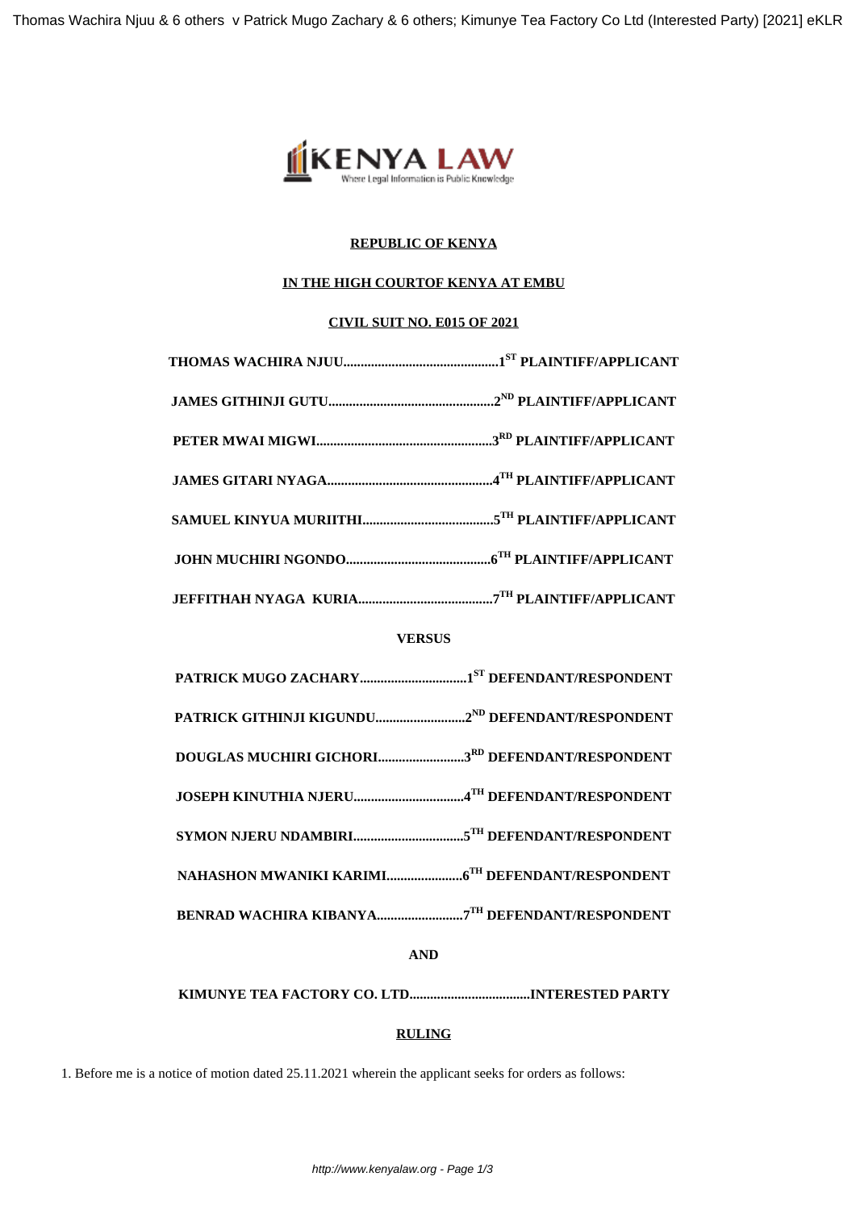

# **REPUBLIC OF KENYA**

## **IN THE HIGH COURTOF KENYA AT EMBU**

## **CIVIL SUIT NO. E015 OF 2021**

# **VERSUS**

- **PATRICK GITHINJI KIGUNDU..........................2ND DEFENDANT/RESPONDENT**
- **DOUGLAS MUCHIRI GICHORI.........................3RD DEFENDANT/RESPONDENT**
- **JOSEPH KINUTHIA NJERU................................4TH DEFENDANT/RESPONDENT**
- **SYMON NJERU NDAMBIRI................................5TH DEFENDANT/RESPONDENT**
- **NAHASHON MWANIKI KARIMI......................6TH DEFENDANT/RESPONDENT**
- **BENRAD WACHIRA KIBANYA.........................7TH DEFENDANT/RESPONDENT**

**AND**

**KIMUNYE TEA FACTORY CO. LTD...................................INTERESTED PARTY**

# **RULING**

1. Before me is a notice of motion dated 25.11.2021 wherein the applicant seeks for orders as follows: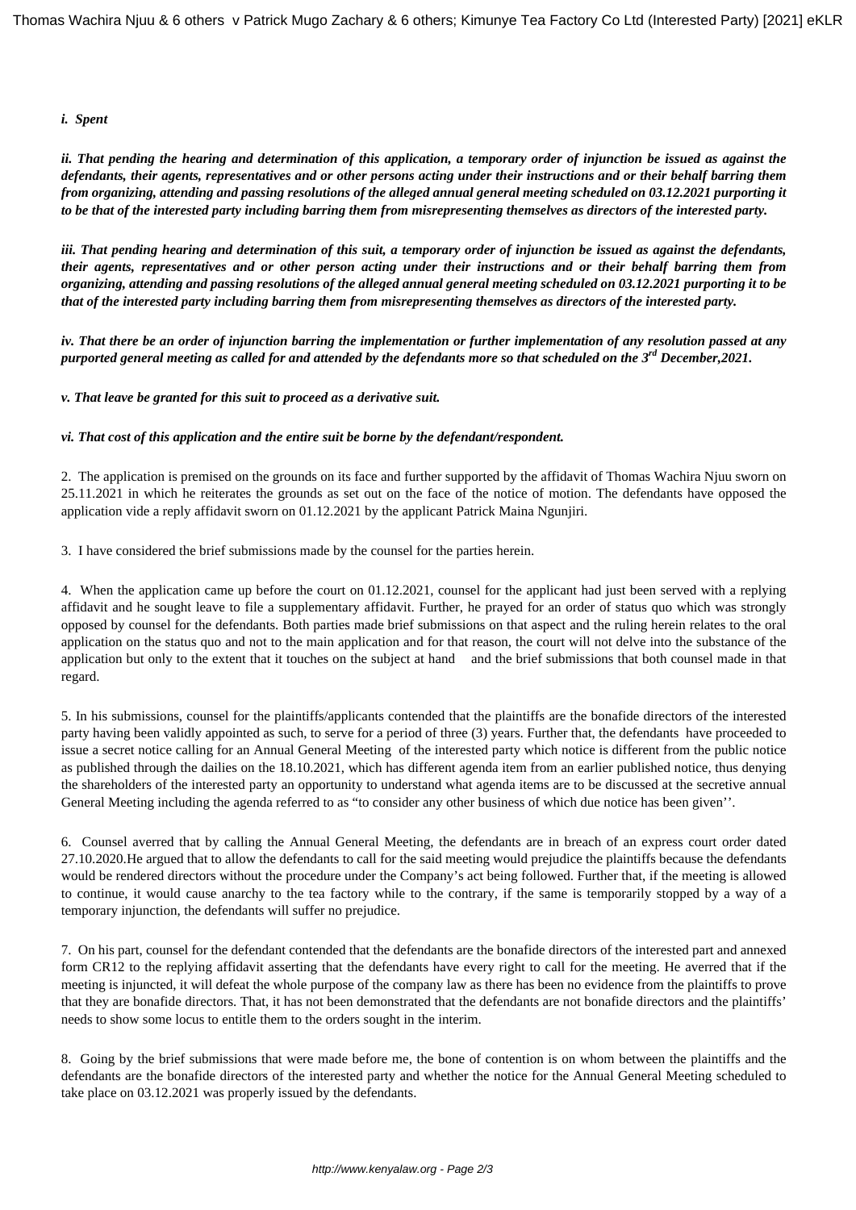### *i. Spent*

*ii. That pending the hearing and determination of this application, a temporary order of injunction be issued as against the defendants, their agents, representatives and or other persons acting under their instructions and or their behalf barring them from organizing, attending and passing resolutions of the alleged annual general meeting scheduled on 03.12.2021 purporting it to be that of the interested party including barring them from misrepresenting themselves as directors of the interested party.*

*iii. That pending hearing and determination of this suit, a temporary order of injunction be issued as against the defendants, their agents, representatives and or other person acting under their instructions and or their behalf barring them from organizing, attending and passing resolutions of the alleged annual general meeting scheduled on 03.12.2021 purporting it to be that of the interested party including barring them from misrepresenting themselves as directors of the interested party.*

*iv. That there be an order of injunction barring the implementation or further implementation of any resolution passed at any purported general meeting as called for and attended by the defendants more so that scheduled on the 3rd December,2021.*

*v. That leave be granted for this suit to proceed as a derivative suit.*

### *vi. That cost of this application and the entire suit be borne by the defendant/respondent.*

2. The application is premised on the grounds on its face and further supported by the affidavit of Thomas Wachira Njuu sworn on 25.11.2021 in which he reiterates the grounds as set out on the face of the notice of motion. The defendants have opposed the application vide a reply affidavit sworn on 01.12.2021 by the applicant Patrick Maina Ngunjiri.

3. I have considered the brief submissions made by the counsel for the parties herein.

4. When the application came up before the court on 01.12.2021, counsel for the applicant had just been served with a replying affidavit and he sought leave to file a supplementary affidavit. Further, he prayed for an order of status quo which was strongly opposed by counsel for the defendants. Both parties made brief submissions on that aspect and the ruling herein relates to the oral application on the status quo and not to the main application and for that reason, the court will not delve into the substance of the application but only to the extent that it touches on the subject at hand and the brief submissions that both counsel made in that regard.

5. In his submissions, counsel for the plaintiffs/applicants contended that the plaintiffs are the bonafide directors of the interested party having been validly appointed as such, to serve for a period of three (3) years. Further that, the defendants have proceeded to issue a secret notice calling for an Annual General Meeting of the interested party which notice is different from the public notice as published through the dailies on the 18.10.2021, which has different agenda item from an earlier published notice, thus denying the shareholders of the interested party an opportunity to understand what agenda items are to be discussed at the secretive annual General Meeting including the agenda referred to as "to consider any other business of which due notice has been given''.

6. Counsel averred that by calling the Annual General Meeting, the defendants are in breach of an express court order dated 27.10.2020.He argued that to allow the defendants to call for the said meeting would prejudice the plaintiffs because the defendants would be rendered directors without the procedure under the Company's act being followed. Further that, if the meeting is allowed to continue, it would cause anarchy to the tea factory while to the contrary, if the same is temporarily stopped by a way of a temporary injunction, the defendants will suffer no prejudice.

7. On his part, counsel for the defendant contended that the defendants are the bonafide directors of the interested part and annexed form CR12 to the replying affidavit asserting that the defendants have every right to call for the meeting. He averred that if the meeting is injuncted, it will defeat the whole purpose of the company law as there has been no evidence from the plaintiffs to prove that they are bonafide directors. That, it has not been demonstrated that the defendants are not bonafide directors and the plaintiffs' needs to show some locus to entitle them to the orders sought in the interim.

8. Going by the brief submissions that were made before me, the bone of contention is on whom between the plaintiffs and the defendants are the bonafide directors of the interested party and whether the notice for the Annual General Meeting scheduled to take place on 03.12.2021 was properly issued by the defendants.